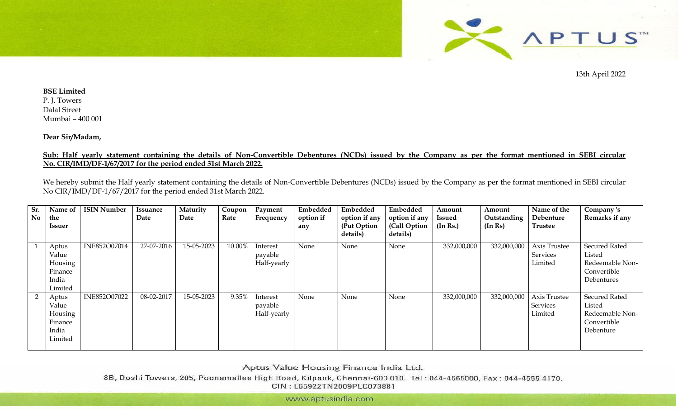

13th April 2022

## **BSE Limited** P. J. Towers Dalal Street Mumbai – 400 001

**Dear Sir/Madam,** 

## **Sub: Half yearly statement containing the details of Non-Convertible Debentures (NCDs) issued by the Company as per the format mentioned in SEBI circular No. CIR/IMD/DF-1/67/2017 for the period ended 31st March 2022.**

We hereby submit the Half yearly statement containing the details of Non-Convertible Debentures (NCDs) issued by the Company as per the format mentioned in SEBI circular No CIR/IMD/DF-1/67/2017 for the period ended 31st March 2022.

| Sr.<br>No | Name of<br>the                                           | <b>ISIN Number</b> | Issuance<br>Date | Maturity<br>Date | Coupon<br>Rate | Payment<br>Frequency               | Embedded<br>option if | Embedded<br>option if any | Embedded<br>option if any | Amount<br><b>Issued</b> | Amount<br>Outstanding | Name of the<br>Debenture            | Company 's<br>Remarks if any                                                   |
|-----------|----------------------------------------------------------|--------------------|------------------|------------------|----------------|------------------------------------|-----------------------|---------------------------|---------------------------|-------------------------|-----------------------|-------------------------------------|--------------------------------------------------------------------------------|
|           | Issuer                                                   |                    |                  |                  |                |                                    | any                   | (Put Option)<br>details)  | (Call Option<br>details)  | (In Rs.)                | (In Rs)               | <b>Trustee</b>                      |                                                                                |
|           | Aptus<br>Value<br>Housing<br>Finance<br>India<br>Limited | INE852O07014       | 27-07-2016       | 15-05-2023       | 10.00%         | Interest<br>payable<br>Half-yearly | None                  | None                      | None                      | 332,000,000             | 332,000,000           | Axis Trustee<br>Services<br>Limited | <b>Secured Rated</b><br>Listed<br>Redeemable Non-<br>Convertible<br>Debentures |
|           | Aptus<br>Value<br>Housing<br>Finance<br>India<br>Limited | INE852O07022       | 08-02-2017       | 15-05-2023       | 9.35%          | Interest<br>payable<br>Half-yearly | None                  | None                      | None                      | 332,000,000             | 332,000,000           | Axis Trustee<br>Services<br>Limited | <b>Secured Rated</b><br>Listed<br>Redeemable Non-<br>Convertible<br>Debenture  |

Aptus Value Housing Finance India Ltd.

8B, Doshi Towers, 205, Poonamallee High Road, Kilpauk, Chennai-600 010. Tel: 044-4565000, Fax: 044-4555 4170. CIN: L65922TN2009PLC073881

www.aptusindia.com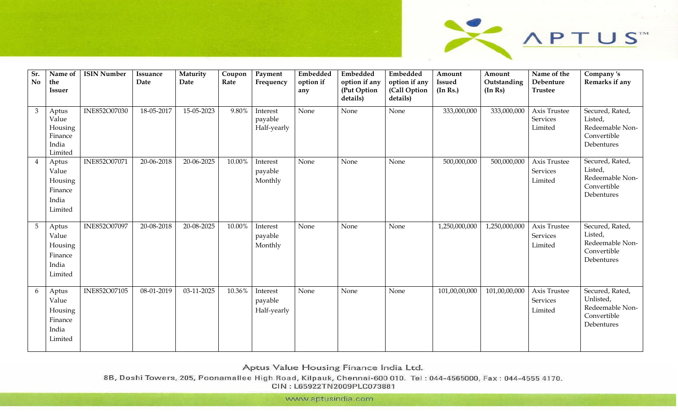

| Sr.<br><b>No</b> | Name of<br>the<br><b>Issuer</b>                          | <b>ISIN Number</b> | Issuance<br>Date | Maturity<br>Date | Coupon<br>Rate | Payment<br>Frequency               | Embedded<br>option if<br>any | Embedded<br>option if any<br>(Put Option<br>details) | Embedded<br>option if any<br>(Call Option<br>details) | Amount<br><b>Issued</b><br>(In Rs.) | Amount<br>Outstanding<br>(In Rs) | Name of the<br>Debenture<br><b>Trustee</b> | Company's<br>Remarks if any                                                  |
|------------------|----------------------------------------------------------|--------------------|------------------|------------------|----------------|------------------------------------|------------------------------|------------------------------------------------------|-------------------------------------------------------|-------------------------------------|----------------------------------|--------------------------------------------|------------------------------------------------------------------------------|
| 3                | Aptus<br>Value<br>Housing<br>Finance<br>India<br>Limited | INE852O07030       | 18-05-2017       | 15-05-2023       | 9.80%          | Interest<br>payable<br>Half-yearly | None                         | None                                                 | None                                                  | 333,000,000                         | 333,000,000                      | Axis Trustee<br>Services<br>Limited        | Secured, Rated,<br>Listed,<br>Redeemable Non-<br>Convertible<br>Debentures   |
|                  | Aptus<br>Value<br>Housing<br>Finance<br>India<br>Limited | INE852O07071       | 20-06-2018       | 20-06-2025       | 10.00%         | Interest<br>payable<br>Monthly     | None                         | None                                                 | None                                                  | 500,000,000                         | 500,000,000                      | Axis Trustee<br>Services<br>Limited        | Secured, Rated,<br>Listed,<br>Redeemable Non-<br>Convertible<br>Debentures   |
| $5\phantom{.}$   | Aptus<br>Value<br>Housing<br>Finance<br>India<br>Limited | INE852O07097       | 20-08-2018       | 20-08-2025       | 10.00%         | Interest<br>payable<br>Monthly     | None                         | None                                                 | None                                                  | 1,250,000,000                       | 1,250,000,000                    | Axis Trustee<br>Services<br>Limited        | Secured, Rated,<br>Listed,<br>Redeemable Non-<br>Convertible<br>Debentures   |
| 6                | Aptus<br>Value<br>Housing<br>Finance<br>India<br>Limited | INE852O07105       | 08-01-2019       | 03-11-2025       | 10.36%         | Interest<br>payable<br>Half-yearly | None                         | None                                                 | None                                                  | 101,00,00,000                       | 101,00,00,000                    | Axis Trustee<br>Services<br>Limited        | Secured, Rated,<br>Unlisted,<br>Redeemable Non-<br>Convertible<br>Debentures |

Aptus Value Housing Finance India Ltd.

8B, Doshi Towers, 205, Poonamallee High Road, Kilpauk, Chennai-600 010. Tel: 044-4565000, Fax: 044-4555 4170. CIN: L65922TN2009PLC073881

www.aptusindia.com